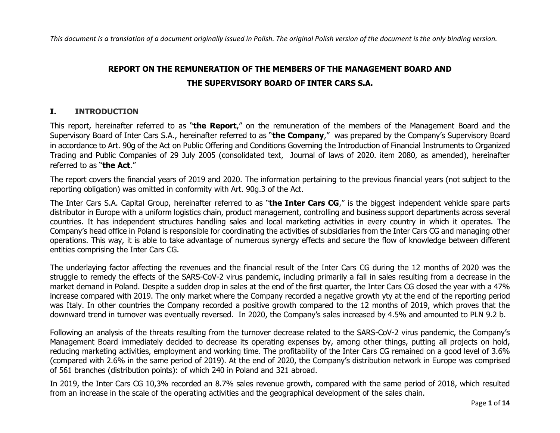# **REPORT ON THE REMUNERATION OF THE MEMBERS OF THE MANAGEMENT BOARD AND THE SUPERVISORY BOARD OF INTER CARS S.A.**

# **I. INTRODUCTION**

This report, hereinafter referred to as "**the Report**," on the remuneration of the members of the Management Board and the Supervisory Board of Inter Cars S.A., hereinafter referred to as "**the Company**," was prepared by the Company's Supervisory Board in accordance to Art. 90g of the Act on Public Offering and Conditions Governing the Introduction of Financial Instruments to Organized Trading and Public Companies of 29 July 2005 (consolidated text, Journal of laws of 2020. item 2080, as amended), hereinafter referred to as "**the Act**."

The report covers the financial years of 2019 and 2020. The information pertaining to the previous financial years (not subject to the reporting obligation) was omitted in conformity with Art. 90g.3 of the Act.

The Inter Cars S.A. Capital Group, hereinafter referred to as "**the Inter Cars CG**," is the biggest independent vehicle spare parts distributor in Europe with a uniform logistics chain, product management, controlling and business support departments across several countries. It has independent structures handling sales and local marketing activities in every country in which it operates. The Company's head office in Poland is responsible for coordinating the activities of subsidiaries from the Inter Cars CG and managing other operations. This way, it is able to take advantage of numerous synergy effects and secure the flow of knowledge between different entities comprising the Inter Cars CG.

The underlaying factor affecting the revenues and the financial result of the Inter Cars CG during the 12 months of 2020 was the struggle to remedy the effects of the SARS-CoV-2 virus pandemic, including primarily a fall in sales resulting from a decrease in the market demand in Poland. Despite a sudden drop in sales at the end of the first quarter, the Inter Cars CG closed the year with a 47% increase compared with 2019. The only market where the Company recorded a negative growth yty at the end of the reporting period was Italy. In other countries the Company recorded a positive growth compared to the 12 months of 2019, which proves that the downward trend in turnover was eventually reversed. In 2020, the Company's sales increased by 4.5% and amounted to PLN 9.2 b.

Following an analysis of the threats resulting from the turnover decrease related to the SARS-CoV-2 virus pandemic, the Company's Management Board immediately decided to decrease its operating expenses by, among other things, putting all projects on hold, reducing marketing activities, employment and working time. The profitability of the Inter Cars CG remained on a good level of 3.6% (compared with 2.6% in the same period of 2019). At the end of 2020, the Company's distribution network in Europe was comprised of 561 branches (distribution points): of which 240 in Poland and 321 abroad.

In 2019, the Inter Cars CG 10,3% recorded an 8.7% sales revenue growth, compared with the same period of 2018, which resulted from an increase in the scale of the operating activities and the geographical development of the sales chain.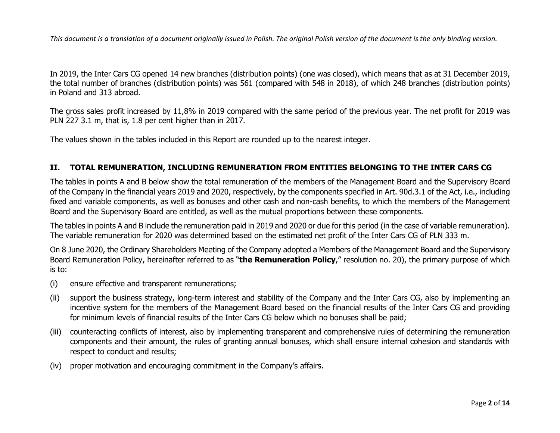In 2019, the Inter Cars CG opened 14 new branches (distribution points) (one was closed), which means that as at 31 December 2019, the total number of branches (distribution points) was 561 (compared with 548 in 2018), of which 248 branches (distribution points) in Poland and 313 abroad.

The gross sales profit increased by 11,8% in 2019 compared with the same period of the previous year. The net profit for 2019 was PLN 227 3.1 m, that is, 1.8 per cent higher than in 2017.

The values shown in the tables included in this Report are rounded up to the nearest integer.

## **II. TOTAL REMUNERATION, INCLUDING REMUNERATION FROM ENTITIES BELONGING TO THE INTER CARS CG**

The tables in points A and B below show the total remuneration of the members of the Management Board and the Supervisory Board of the Company in the financial years 2019 and 2020, respectively, by the components specified in Art. 90d.3.1 of the Act, i.e., including fixed and variable components, as well as bonuses and other cash and non-cash benefits, to which the members of the Management Board and the Supervisory Board are entitled, as well as the mutual proportions between these components.

The tables in points A and B include the remuneration paid in 2019 and 2020 or due for this period (in the case of variable remuneration). The variable remuneration for 2020 was determined based on the estimated net profit of the Inter Cars CG of PLN 333 m.

On 8 June 2020, the Ordinary Shareholders Meeting of the Company adopted a Members of the Management Board and the Supervisory Board Remuneration Policy, hereinafter referred to as "**the Remuneration Policy**," resolution no. 20), the primary purpose of which is to:

- (i) ensure effective and transparent remunerations;
- (ii) support the business strategy, long-term interest and stability of the Company and the Inter Cars CG, also by implementing an incentive system for the members of the Management Board based on the financial results of the Inter Cars CG and providing for minimum levels of financial results of the Inter Cars CG below which no bonuses shall be paid;
- (iii) counteracting conflicts of interest, also by implementing transparent and comprehensive rules of determining the remuneration components and their amount, the rules of granting annual bonuses, which shall ensure internal cohesion and standards with respect to conduct and results;
- (iv) proper motivation and encouraging commitment in the Company's affairs.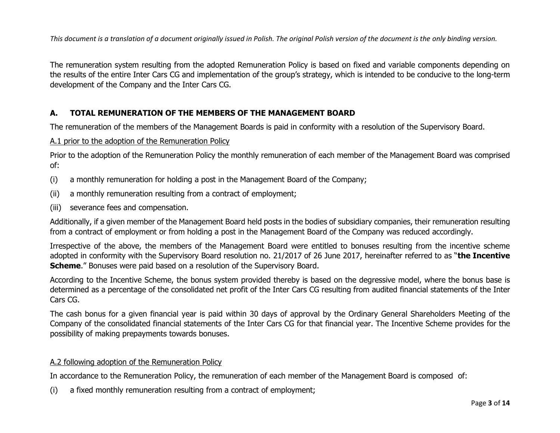The remuneration system resulting from the adopted Remuneration Policy is based on fixed and variable components depending on the results of the entire Inter Cars CG and implementation of the group's strategy, which is intended to be conducive to the long-term development of the Company and the Inter Cars CG.

#### **A. TOTAL REMUNERATION OF THE MEMBERS OF THE MANAGEMENT BOARD**

The remuneration of the members of the Management Boards is paid in conformity with a resolution of the Supervisory Board.

A.1 prior to the adoption of the Remuneration Policy

Prior to the adoption of the Remuneration Policy the monthly remuneration of each member of the Management Board was comprised of:

- (i) a monthly remuneration for holding a post in the Management Board of the Company;
- (ii) a monthly remuneration resulting from a contract of employment;
- (iii) severance fees and compensation.

Additionally, if a given member of the Management Board held posts in the bodies of subsidiary companies, their remuneration resulting from a contract of employment or from holding a post in the Management Board of the Company was reduced accordingly.

Irrespective of the above, the members of the Management Board were entitled to bonuses resulting from the incentive scheme adopted in conformity with the Supervisory Board resolution no. 21/2017 of 26 June 2017, hereinafter referred to as "**the Incentive Scheme.**" Bonuses were paid based on a resolution of the Supervisory Board.

According to the Incentive Scheme, the bonus system provided thereby is based on the degressive model, where the bonus base is determined as a percentage of the consolidated net profit of the Inter Cars CG resulting from audited financial statements of the Inter Cars CG.

The cash bonus for a given financial year is paid within 30 days of approval by the Ordinary General Shareholders Meeting of the Company of the consolidated financial statements of the Inter Cars CG for that financial year. The Incentive Scheme provides for the possibility of making prepayments towards bonuses.

#### A.2 following adoption of the Remuneration Policy

In accordance to the Remuneration Policy, the remuneration of each member of the Management Board is composed of:

(i) a fixed monthly remuneration resulting from a contract of employment;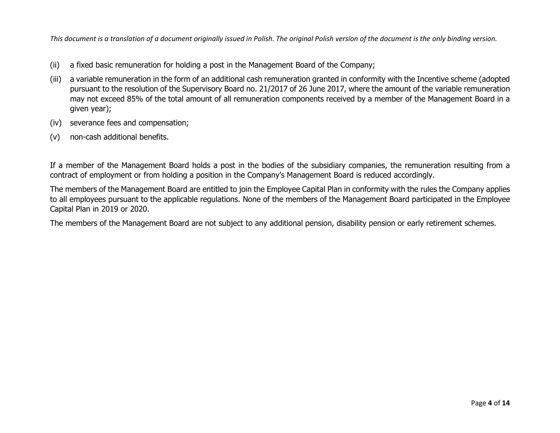- (ii) a fixed basic remuneration for holding a post in the Management Board of the Company;
- (iii) a variable remuneration in the form of an additional cash remuneration granted in conformity with the Incentive scheme (adopted pursuant to the resolution of the Supervisory Board no. 21/2017 of 26 June 2017, where the amount of the variable remuneration may not exceed 85% of the total amount of all remuneration components received by a member of the Management Board in a given year);
- (iv) severance fees and compensation;
- (v) non-cash additional benefits.

If a member of the Management Board holds a post in the bodies of the subsidiary companies, the remuneration resulting from a contract of employment or from holding a position in the Company's Management Board is reduced accordingly.

The members of the Management Board are entitled to join the Employee Capital Plan in conformity with the rules the Company applies to all employees pursuant to the applicable regulations. None of the members of the Management Board participated in the Employee Capital Plan in 2019 or 2020.

The members of the Management Board are not subject to any additional pension, disability pension or early retirement schemes.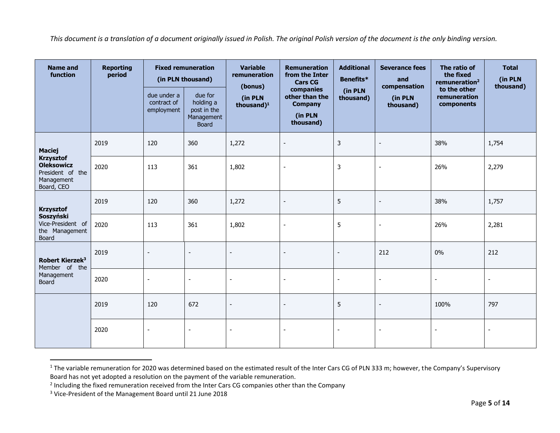| <b>Name and</b><br>function                                                           | <b>Reporting</b><br>period |                                          | <b>Fixed remuneration</b><br>(in PLN thousand)                    | <b>Variable</b><br>remuneration   | <b>Remuneration</b><br><b>Additional</b><br>from the Inter<br>Benefits*<br><b>Cars CG</b><br>(bonus) |                          | <b>Severance fees</b><br>and<br>compensation | The ratio of<br>the fixed<br>remuneration <sup>2</sup> | <b>Total</b><br>(in PLN<br>thousand) |
|---------------------------------------------------------------------------------------|----------------------------|------------------------------------------|-------------------------------------------------------------------|-----------------------------------|------------------------------------------------------------------------------------------------------|--------------------------|----------------------------------------------|--------------------------------------------------------|--------------------------------------|
|                                                                                       |                            | due under a<br>contract of<br>employment | due for<br>holding a<br>post in the<br>Management<br><b>Board</b> | (in PLN<br>thousand) <sup>1</sup> | companies<br>other than the<br><b>Company</b><br>(in PLN<br>thousand)                                | (in PLN<br>thousand)     | (in PLN<br>thousand)                         | to the other<br>remuneration<br>components             |                                      |
| <b>Maciej</b>                                                                         | 2019                       | 120                                      | 360                                                               | 1,272                             | $\overline{a}$                                                                                       | $\mathbf{3}$             | $\overline{a}$                               | 38%                                                    | 1,754                                |
| <b>Krzysztof</b><br><b>Oleksowicz</b><br>President of the<br>Management<br>Board, CEO | 2020                       | 113                                      | 361                                                               | 1,802                             | $\overline{a}$                                                                                       | 3                        | $\blacksquare$                               | 26%                                                    | 2,279                                |
| <b>Krzysztof</b>                                                                      | 2019                       | 120                                      | 360                                                               | 1,272                             | $\blacksquare$                                                                                       | 5                        | $\overline{a}$                               | 38%                                                    | 1,757                                |
| Soszyński<br>Vice-President of<br>the Management<br>Board                             | 2020                       | 113                                      | 361                                                               | 1,802                             | $\blacksquare$                                                                                       | 5                        | $\blacksquare$                               | 26%                                                    | 2,281                                |
| Robert Kierzek <sup>3</sup><br>Member of the                                          | 2019                       | $\blacksquare$                           | $\blacksquare$                                                    | $\overline{\phantom{a}}$          | $\blacksquare$                                                                                       | ÷,                       | 212                                          | 0%                                                     | 212                                  |
| Management<br><b>Board</b>                                                            | 2020                       | $\blacksquare$                           | $\overline{\phantom{a}}$                                          | $\overline{\phantom{a}}$          | $\overline{a}$                                                                                       | $\overline{\phantom{a}}$ | $\overline{\phantom{a}}$                     | $\overline{\phantom{a}}$                               | $\overline{\phantom{a}}$             |
|                                                                                       | 2019                       | 120                                      | 672                                                               | $\sim$                            | $\overline{\phantom{a}}$                                                                             | 5                        | $\blacksquare$                               | 100%                                                   | 797                                  |
|                                                                                       | 2020                       | $\blacksquare$                           |                                                                   | $\overline{\phantom{a}}$          | $\blacksquare$                                                                                       | $\overline{\phantom{a}}$ | $\overline{\phantom{a}}$                     |                                                        |                                      |

<sup>&</sup>lt;sup>1</sup> The variable remuneration for 2020 was determined based on the estimated result of the Inter Cars CG of PLN 333 m; however, the Company's Supervisory Board has not yet adopted a resolution on the payment of the variable remuneration.

<sup>&</sup>lt;sup>2</sup> Including the fixed remuneration received from the Inter Cars CG companies other than the Company

<sup>3</sup> Vice-President of the Management Board until 21 June 2018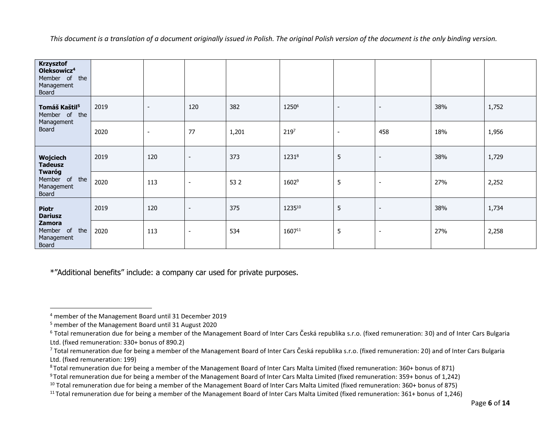| <b>Krzysztof</b><br>Oleksowicz <sup>4</sup><br>Member of the<br>Management<br>Board |      |                          |                          |       |        |                          |                          |     |       |
|-------------------------------------------------------------------------------------|------|--------------------------|--------------------------|-------|--------|--------------------------|--------------------------|-----|-------|
| Tomáš Kaštil <sup>5</sup><br>Member of the                                          | 2019 | $\blacksquare$           | 120                      | 382   | 12506  | $\blacksquare$           | $\overline{\phantom{a}}$ | 38% | 1,752 |
| Management<br>Board                                                                 | 2020 | $\overline{\phantom{a}}$ | 77                       | 1,201 | 2197   | $\overline{\phantom{a}}$ | 458                      | 18% | 1,956 |
| <b>Wojciech</b><br><b>Tadeusz</b>                                                   | 2019 | 120                      | $\overline{\phantom{a}}$ | 373   | 12318  | 5                        | $\overline{\phantom{a}}$ | 38% | 1,729 |
| <b>Twaróg</b><br>Member of the<br>Management<br>Board                               | 2020 | 113                      | $\blacksquare$           | 53 2  | 16029  | 5                        | $\overline{\phantom{a}}$ | 27% | 2,252 |
| <b>Piotr</b><br><b>Dariusz</b>                                                      | 2019 | 120                      | $\blacksquare$           | 375   | 123510 | 5                        | $\overline{\phantom{a}}$ | 38% | 1,734 |
| Zamora<br>of<br>the<br>Member<br>Management<br>Board                                | 2020 | 113                      | $\overline{\phantom{a}}$ | 534   | 160711 | 5                        | $\overline{\phantom{a}}$ | 27% | 2,258 |

\*"Additional benefits" include: a company car used for private purposes.

<sup>4</sup> member of the Management Board until 31 December 2019

<sup>5</sup> member of the Management Board until 31 August 2020

<sup>&</sup>lt;sup>6</sup> Total remuneration due for being a member of the Management Board of Inter Cars Česká republika s.r.o. (fixed remuneration: 30) and of Inter Cars Bulgaria Ltd. (fixed remuneration: 330+ bonus of 890.2)

<sup>&</sup>lt;sup>7</sup> Total remuneration due for being a member of the Management Board of Inter Cars Česká republika s.r.o. (fixed remuneration: 20) and of Inter Cars Bulgaria Ltd. (fixed remuneration: 199)

<sup>8</sup> Total remuneration due for being a member of the Management Board of Inter Cars Malta Limited (fixed remuneration: 360+ bonus of 871)

<sup>9</sup> Total remuneration due for being a member of the Management Board of Inter Cars Malta Limited (fixed remuneration: 359+ bonus of 1,242)

<sup>&</sup>lt;sup>10</sup> Total remuneration due for being a member of the Management Board of Inter Cars Malta Limited (fixed remuneration: 360+ bonus of 875)

 $11$  Total remuneration due for being a member of the Management Board of Inter Cars Malta Limited (fixed remuneration: 361+ bonus of 1,246)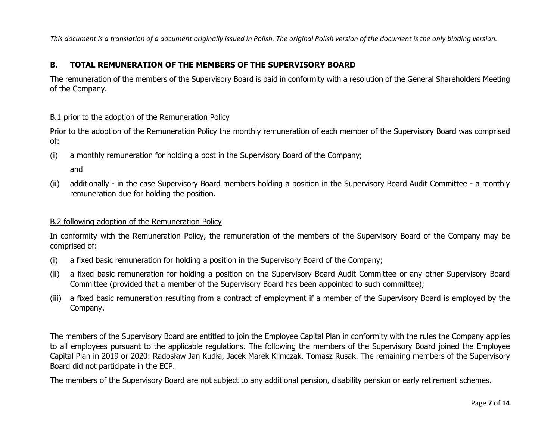# **B. TOTAL REMUNERATION OF THE MEMBERS OF THE SUPERVISORY BOARD**

The remuneration of the members of the Supervisory Board is paid in conformity with a resolution of the General Shareholders Meeting of the Company.

#### B.1 prior to the adoption of the Remuneration Policy

Prior to the adoption of the Remuneration Policy the monthly remuneration of each member of the Supervisory Board was comprised of:

(i) a monthly remuneration for holding a post in the Supervisory Board of the Company;

and

(ii) additionally - in the case Supervisory Board members holding a position in the Supervisory Board Audit Committee - a monthly remuneration due for holding the position.

#### B.2 following adoption of the Remuneration Policy

In conformity with the Remuneration Policy, the remuneration of the members of the Supervisory Board of the Company may be comprised of:

- (i) a fixed basic remuneration for holding a position in the Supervisory Board of the Company;
- (ii) a fixed basic remuneration for holding a position on the Supervisory Board Audit Committee or any other Supervisory Board Committee (provided that a member of the Supervisory Board has been appointed to such committee);
- (iii) a fixed basic remuneration resulting from a contract of employment if a member of the Supervisory Board is employed by the Company.

The members of the Supervisory Board are entitled to join the Employee Capital Plan in conformity with the rules the Company applies to all employees pursuant to the applicable regulations. The following the members of the Supervisory Board joined the Employee Capital Plan in 2019 or 2020: Radosław Jan Kudła, Jacek Marek Klimczak, Tomasz Rusak. The remaining members of the Supervisory Board did not participate in the ECP.

The members of the Supervisory Board are not subject to any additional pension, disability pension or early retirement schemes.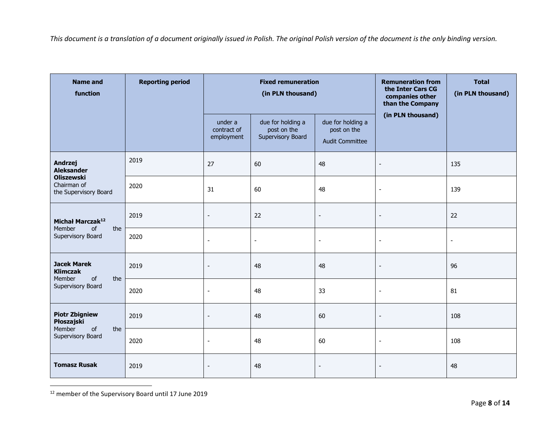| <b>Name and</b><br>function                                                     | <b>Reporting period</b> |                                      | <b>Fixed remuneration</b><br>(in PLN thousand)        | <b>Remuneration from</b><br>the Inter Cars CG<br>companies other<br>than the Company | <b>Total</b><br>(in PLN thousand) |     |
|---------------------------------------------------------------------------------|-------------------------|--------------------------------------|-------------------------------------------------------|--------------------------------------------------------------------------------------|-----------------------------------|-----|
|                                                                                 |                         | under a<br>contract of<br>employment | due for holding a<br>post on the<br>Supervisory Board | due for holding a<br>post on the<br><b>Audit Committee</b>                           | (in PLN thousand)                 |     |
| Andrzej<br><b>Aleksander</b>                                                    | 2019                    | 27                                   | 60                                                    | 48                                                                                   | $\overline{\phantom{a}}$          | 135 |
| <b>Oliszewski</b><br>Chairman of<br>the Supervisory Board                       | 2020                    | 31                                   | 60                                                    | 48                                                                                   | $\overline{\phantom{a}}$          | 139 |
| Michał Marczak <sup>12</sup>                                                    | 2019                    | $\overline{\phantom{a}}$             | 22                                                    | $\overline{\phantom{a}}$                                                             | $\overline{\phantom{a}}$          | 22  |
| Member<br>of<br>the<br>Supervisory Board                                        | 2020                    | $\overline{\phantom{a}}$             | $\overline{a}$                                        | $\overline{\phantom{a}}$                                                             | $\overline{\phantom{a}}$          | -   |
| <b>Jacek Marek</b><br><b>Klimczak</b>                                           | 2019                    | $\blacksquare$                       | 48                                                    | 48                                                                                   | $\overline{\phantom{a}}$          | 96  |
| Member<br>of<br>the<br>Supervisory Board                                        | 2020                    | $\overline{\phantom{a}}$             | 48                                                    | 33                                                                                   | $\overline{\phantom{a}}$          | 81  |
| <b>Piotr Zbigniew</b><br>Płoszajski<br>of<br>the<br>Member<br>Supervisory Board | 2019                    | $\blacksquare$                       | 48                                                    | 60                                                                                   | $\overline{\phantom{a}}$          | 108 |
|                                                                                 | 2020                    | $\overline{\phantom{a}}$             | 48                                                    | 60                                                                                   | $\overline{\phantom{a}}$          | 108 |
| <b>Tomasz Rusak</b>                                                             | 2019                    |                                      | 48                                                    | $\overline{\phantom{a}}$                                                             |                                   | 48  |

<sup>12</sup> member of the Supervisory Board until 17 June 2019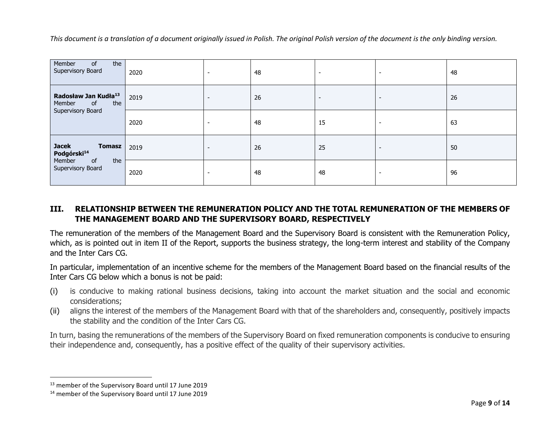| Member<br>the<br>of<br>Supervisory Board                                                             | 2020 | $\overline{\phantom{a}}$ | 48 | $\blacksquare$ | $\overline{\phantom{a}}$ | 48 |
|------------------------------------------------------------------------------------------------------|------|--------------------------|----|----------------|--------------------------|----|
| Radosław Jan Kudła <sup>13</sup><br>of<br>Member<br>the                                              | 2019 | $\overline{\phantom{a}}$ | 26 | $\blacksquare$ | $\overline{\phantom{a}}$ | 26 |
| Supervisory Board                                                                                    | 2020 | $\overline{\phantom{a}}$ | 48 | 15             | $\overline{\phantom{a}}$ | 63 |
| <b>Jacek</b><br><b>Tomasz</b><br>Podgórski <sup>14</sup><br>of<br>the<br>Member<br>Supervisory Board | 2019 | $\overline{\phantom{a}}$ | 26 | 25             | $\overline{\phantom{0}}$ | 50 |
|                                                                                                      | 2020 | $\overline{\phantom{a}}$ | 48 | 48             | $\overline{\phantom{a}}$ | 96 |

# **III. RELATIONSHIP BETWEEN THE REMUNERATION POLICY AND THE TOTAL REMUNERATION OF THE MEMBERS OF THE MANAGEMENT BOARD AND THE SUPERVISORY BOARD, RESPECTIVELY**

The remuneration of the members of the Management Board and the Supervisory Board is consistent with the Remuneration Policy, which, as is pointed out in item II of the Report, supports the business strategy, the long-term interest and stability of the Company and the Inter Cars CG.

In particular, implementation of an incentive scheme for the members of the Management Board based on the financial results of the Inter Cars CG below which a bonus is not be paid:

- (i) is conducive to making rational business decisions, taking into account the market situation and the social and economic considerations;
- (ii) aligns the interest of the members of the Management Board with that of the shareholders and, consequently, positively impacts the stability and the condition of the Inter Cars CG.

In turn, basing the remunerations of the members of the Supervisory Board on fixed remuneration components is conducive to ensuring their independence and, consequently, has a positive effect of the quality of their supervisory activities.

<sup>&</sup>lt;sup>13</sup> member of the Supervisory Board until 17 June 2019

<sup>14</sup> member of the Supervisory Board until 17 June 2019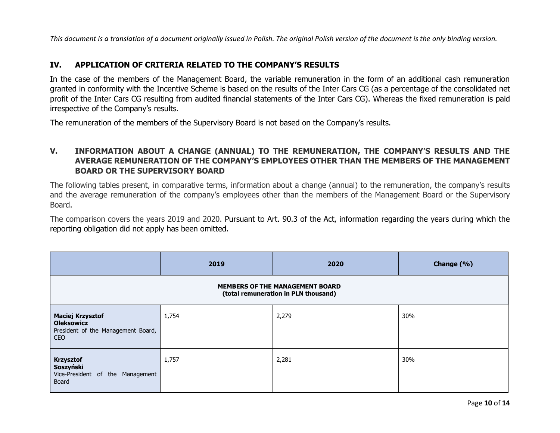# **IV. APPLICATION OF CRITERIA RELATED TO THE COMPANY'S RESULTS**

In the case of the members of the Management Board, the variable remuneration in the form of an additional cash remuneration granted in conformity with the Incentive Scheme is based on the results of the Inter Cars CG (as a percentage of the consolidated net profit of the Inter Cars CG resulting from audited financial statements of the Inter Cars CG). Whereas the fixed remuneration is paid irrespective of the Company's results.

The remuneration of the members of the Supervisory Board is not based on the Company's results.

# **V. INFORMATION ABOUT A CHANGE (ANNUAL) TO THE REMUNERATION, THE COMPANY'S RESULTS AND THE AVERAGE REMUNERATION OF THE COMPANY'S EMPLOYEES OTHER THAN THE MEMBERS OF THE MANAGEMENT BOARD OR THE SUPERVISORY BOARD**

The following tables present, in comparative terms, information about a change (annual) to the remuneration, the company's results and the average remuneration of the company's employees other than the members of the Management Board or the Supervisory Board.

The comparison covers the years 2019 and 2020. Pursuant to Art. 90.3 of the Act, information regarding the years during which the reporting obligation did not apply has been omitted.

|                                                                                                  | 2019  | 2020  | Change (%) |  |  |  |  |  |
|--------------------------------------------------------------------------------------------------|-------|-------|------------|--|--|--|--|--|
| <b>MEMBERS OF THE MANAGEMENT BOARD</b><br>(total remuneration in PLN thousand)                   |       |       |            |  |  |  |  |  |
| <b>Maciej Krzysztof</b><br><b>Oleksowicz</b><br>President of the Management Board,<br><b>CEO</b> | 1,754 | 2,279 | 30%        |  |  |  |  |  |
| <b>Krzysztof</b><br>Soszyński<br>Vice-President of the Management<br>Board                       | 1,757 | 2,281 | 30%        |  |  |  |  |  |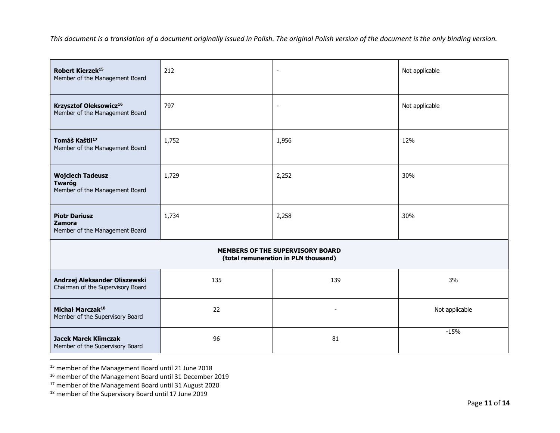| <b>Robert Kierzek<sup>15</sup></b><br>Member of the Management Board       | 212   |       | Not applicable |  |  |
|----------------------------------------------------------------------------|-------|-------|----------------|--|--|
| Krzysztof Oleksowicz <sup>16</sup><br>Member of the Management Board       | 797   |       | Not applicable |  |  |
| Tomáš Kaštil <sup>17</sup><br>Member of the Management Board               | 1,752 | 1,956 | 12%            |  |  |
| <b>Wojciech Tadeusz</b><br><b>Twaróg</b><br>Member of the Management Board | 1,729 | 2,252 | 30%            |  |  |
| <b>Piotr Dariusz</b><br>Zamora<br>Member of the Management Board           | 1,734 | 2,258 | 30%            |  |  |
| MEMBERS OF THE SUPERVISORY BOARD<br>(total remuneration in PLN thousand)   |       |       |                |  |  |
| Andrzej Aleksander Oliszewski<br>Chairman of the Supervisory Board         | 135   | 139   | 3%             |  |  |
| Michał Marczak <sup>18</sup><br>Member of the Supervisory Board            | 22    | -     | Not applicable |  |  |
| <b>Jacek Marek Klimczak</b><br>Member of the Supervisory Board             | 96    | 81    | $-15%$         |  |  |

<sup>15</sup> member of the Management Board until 21 June 2018

<sup>16</sup> member of the Management Board until 31 December 2019

<sup>17</sup> member of the Management Board until 31 August 2020

<sup>&</sup>lt;sup>18</sup> member of the Supervisory Board until 17 June 2019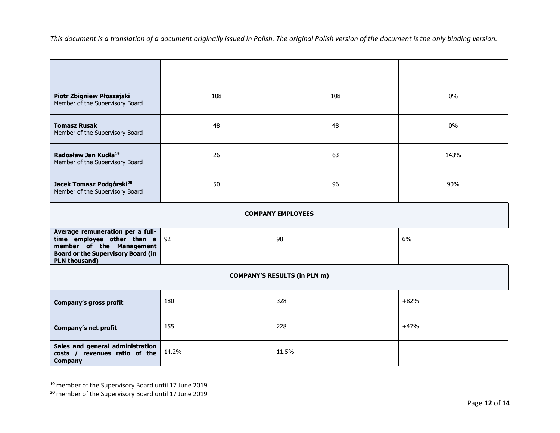| Piotr Zbigniew Płoszajski<br>Member of the Supervisory Board                                                                                                    | 108    | 108   | $0\%$  |  |  |  |  |
|-----------------------------------------------------------------------------------------------------------------------------------------------------------------|--------|-------|--------|--|--|--|--|
| <b>Tomasz Rusak</b><br>Member of the Supervisory Board                                                                                                          | 48     | 48    | $0\%$  |  |  |  |  |
| Radosław Jan Kudła <sup>19</sup><br>Member of the Supervisory Board                                                                                             | 26     | 63    | 143%   |  |  |  |  |
| Jacek Tomasz Podgórski <sup>20</sup><br>Member of the Supervisory Board                                                                                         | 50     | 96    | 90%    |  |  |  |  |
| <b>COMPANY EMPLOYEES</b>                                                                                                                                        |        |       |        |  |  |  |  |
| Average remuneration per a full-<br>time employee other than a<br>member of the Management<br><b>Board or the Supervisory Board (in</b><br><b>PLN thousand)</b> | 92     | 98    | 6%     |  |  |  |  |
| <b>COMPANY'S RESULTS (in PLN m)</b>                                                                                                                             |        |       |        |  |  |  |  |
| <b>Company's gross profit</b>                                                                                                                                   | $+82%$ |       |        |  |  |  |  |
| <b>Company's net profit</b>                                                                                                                                     | 155    | 228   | $+47%$ |  |  |  |  |
| Sales and general administration<br>costs / revenues ratio of the<br><b>Company</b>                                                                             | 14.2%  | 11.5% |        |  |  |  |  |

<sup>&</sup>lt;sup>19</sup> member of the Supervisory Board until 17 June 2019

<sup>&</sup>lt;sup>20</sup> member of the Supervisory Board until 17 June 2019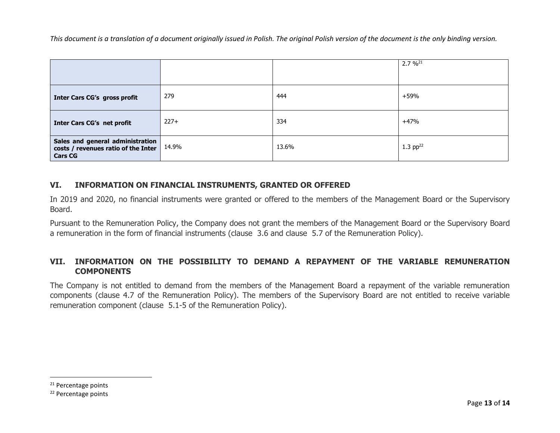|                                                                                           |        |       | $2.7 \%$ <sup>21</sup> |
|-------------------------------------------------------------------------------------------|--------|-------|------------------------|
| <b>Inter Cars CG's gross profit</b>                                                       | 279    | 444   | $+59%$                 |
| <b>Inter Cars CG's net profit</b>                                                         | $227+$ | 334   | $+47%$                 |
| Sales and general administration<br>costs / revenues ratio of the Inter<br><b>Cars CG</b> | 14.9%  | 13.6% | 1.3 $pp^{22}$          |

## **VI. INFORMATION ON FINANCIAL INSTRUMENTS, GRANTED OR OFFERED**

In 2019 and 2020, no financial instruments were granted or offered to the members of the Management Board or the Supervisory Board.

Pursuant to the Remuneration Policy, the Company does not grant the members of the Management Board or the Supervisory Board a remuneration in the form of financial instruments (clause 3.6 and clause 5.7 of the Remuneration Policy).

# **VII. INFORMATION ON THE POSSIBILITY TO DEMAND A REPAYMENT OF THE VARIABLE REMUNERATION COMPONENTS**

The Company is not entitled to demand from the members of the Management Board a repayment of the variable remuneration components (clause 4.7 of the Remuneration Policy). The members of the Supervisory Board are not entitled to receive variable remuneration component (clause 5.1-5 of the Remuneration Policy).

<sup>&</sup>lt;sup>21</sup> Percentage points

<sup>22</sup> Percentage points